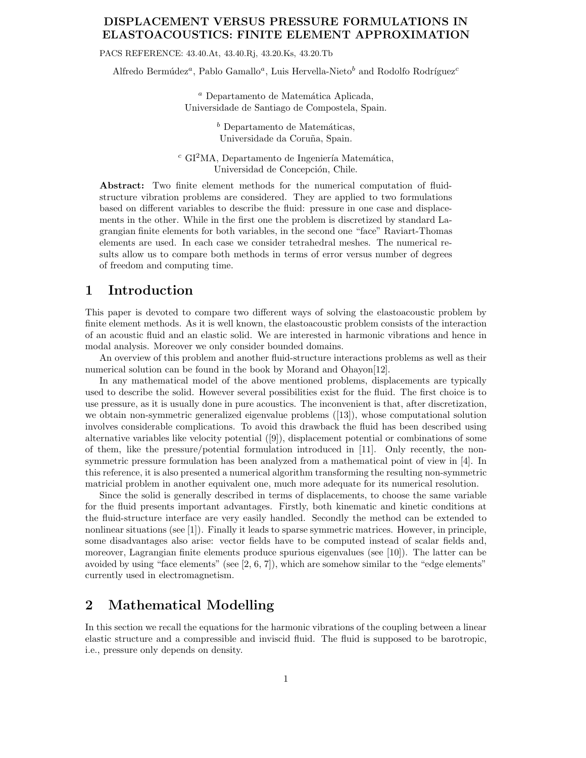### **DISPLACEMENT VERSUS PRESSURE FORMULATIONS IN ELASTOACOUSTICS: FINITE ELEMENT APPROXIMATION**

PACS REFERENCE: 43.40.At, 43.40.Rj, 43.20.Ks, 43.20.Tb

Alfredo Bermúdez<sup>a</sup>, Pablo Gamallo<sup>a</sup>, Luis Hervella-Nieto<sup>b</sup> and Rodolfo Rodríguez<sup>c</sup>

<sup>a</sup> Departamento de Matemática Aplicada, Universidade de Santiago de Compostela, Spain.

> $<sup>b</sup>$  Departamento de Matemáticas,</sup> Universidade da Coruña, Spain.

 $c$  GI<sup>2</sup>MA, Departamento de Ingeniería Matemática, Universidad de Concepción, Chile.

**Abstract:** Two finite element methods for the numerical computation of fluidstructure vibration problems are considered. They are applied to two formulations based on different variables to describe the fluid: pressure in one case and displacements in the other. While in the first one the problem is discretized by standard Lagrangian finite elements for both variables, in the second one "face" Raviart-Thomas elements are used. In each case we consider tetrahedral meshes. The numerical results allow us to compare both methods in terms of error versus number of degrees of freedom and computing time.

## **1 Introduction**

This paper is devoted to compare two different ways of solving the elastoacoustic problem by finite element methods. As it is well known, the elastoacoustic problem consists of the interaction of an acoustic fluid and an elastic solid. We are interested in harmonic vibrations and hence in modal analysis. Moreover we only consider bounded domains.

An overview of this problem and another fluid-structure interactions problems as well as their numerical solution can be found in the book by Morand and Ohayon[12].

In any mathematical model of the above mentioned problems, displacements are typically used to describe the solid. However several possibilities exist for the fluid. The first choice is to use pressure, as it is usually done in pure acoustics. The inconvenient is that, after discretization, we obtain non-symmetric generalized eigenvalue problems ([13]), whose computational solution involves considerable complications. To avoid this drawback the fluid has been described using alternative variables like velocity potential ([9]), displacement potential or combinations of some of them, like the pressure/potential formulation introduced in [11]. Only recently, the nonsymmetric pressure formulation has been analyzed from a mathematical point of view in [4]. In this reference, it is also presented a numerical algorithm transforming the resulting non-symmetric matricial problem in another equivalent one, much more adequate for its numerical resolution.

Since the solid is generally described in terms of displacements, to choose the same variable for the fluid presents important advantages. Firstly, both kinematic and kinetic conditions at the fluid-structure interface are very easily handled. Secondly the method can be extended to nonlinear situations (see [1]). Finally it leads to sparse symmetric matrices. However, in principle, some disadvantages also arise: vector fields have to be computed instead of scalar fields and, moreover, Lagrangian finite elements produce spurious eigenvalues (see [10]). The latter can be avoided by using "face elements" (see  $[2, 6, 7]$ ), which are somehow similar to the "edge elements" currently used in electromagnetism.

# **2 Mathematical Modelling**

In this section we recall the equations for the harmonic vibrations of the coupling between a linear elastic structure and a compressible and inviscid fluid. The fluid is supposed to be barotropic, i.e., pressure only depends on density.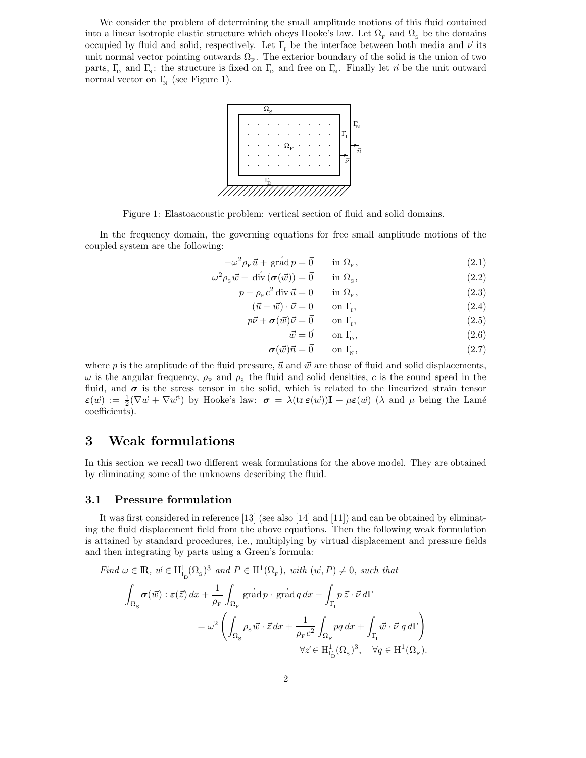We consider the problem of determining the small amplitude motions of this fluid contained into a linear isotropic elastic structure which obeys Hooke's law. Let  $\Omega_{\rm F}$  and  $\Omega_{\rm S}$  be the domains occupied by fluid and solid, respectively. Let  $\Gamma$ <sub>I</sub> be the interface between both media and  $\vec{\nu}$  its unit normal vector pointing outwards  $\Omega_F$ . The exterior boundary of the solid is the union of two parts,  $\Gamma_{\rm p}$  and  $\Gamma_{\rm N}$ : the structure is fixed on  $\Gamma_{\rm p}$  and free on  $\Gamma_{\rm N}$ . Finally let  $\vec{n}$  be the unit outward normal vector on  $\Gamma_{\!N}$  (see Figure 1).



Figure 1: Elastoacoustic problem: vertical section of fluid and solid domains.

In the frequency domain, the governing equations for free small amplitude motions of the coupled system are the following:

$$
-\omega^2 \rho_{\rm F} \vec{u} + \vec{\text{grad}} p = \vec{0} \qquad \text{in } \Omega_{\rm F}, \tag{2.1}
$$

$$
\omega^2 \rho_{\rm s} \vec{w} + \vec{\text{div}} \left( \sigma(\vec{w}) \right) = \vec{0} \qquad \text{in } \Omega_{\rm s}, \tag{2.2}
$$

$$
p + \rho_{\rm F} c^2 \operatorname{div} \vec{u} = 0 \qquad \text{in } \Omega_{\rm F}, \tag{2.3}
$$

$$
(\vec{u} - \vec{w}) \cdot \vec{\nu} = 0 \qquad \text{on } \Gamma_{\!1},\tag{2.4}
$$

$$
p\vec{\nu} + \sigma(\vec{w})\vec{\nu} = \vec{0} \qquad \text{on } \Gamma_{\rm r}, \tag{2.5}
$$

$$
\vec{w} = \vec{0} \qquad \text{on } \Gamma_{\text{D}},\tag{2.6}
$$

$$
\sigma(\vec{w})\vec{n} = \vec{0} \qquad \text{on } \Gamma_{\!\!N},\tag{2.7}
$$

where p is the amplitude of the fluid pressure,  $\vec{u}$  and  $\vec{w}$  are those of fluid and solid displacements,  $\omega$  is the angular frequency,  $\rho_{\rm F}$  and  $\rho_{\rm s}$  the fluid and solid densities, c is the sound speed in the fluid, and  $\sigma$  is the stress tensor in the solid, which is related to the linearized strain tensor  $\varepsilon(\vec{w}) := \frac{1}{2} (\nabla \vec{w} + \nabla \vec{w}^{\dagger})$  by Hooke's law:  $\sigma = \lambda(\text{tr } \varepsilon(\vec{w})) \mathbf{I} + \mu \varepsilon(\vec{w}) (\lambda \text{ and } \mu \text{ being the Lamé})$ coefficients).

# **3 Weak formulations**

In this section we recall two different weak formulations for the above model. They are obtained by eliminating some of the unknowns describing the fluid.

### **3.1 Pressure formulation**

It was first considered in reference [13] (see also [14] and [11]) and can be obtained by eliminating the fluid displacement field from the above equations. Then the following weak formulation is attained by standard procedures, i.e., multiplying by virtual displacement and pressure fields and then integrating by parts using a Green's formula:

Find 
$$
\omega \in \mathbb{R}
$$
,  $\vec{w} \in H_{\Gamma_{\mathcal{D}}}^1(\Omega_{\mathcal{S}})^3$  and  $P \in H^1(\Omega_{\mathcal{F}})$ , with  $(\vec{w}, P) \neq 0$ , such that  
\n
$$
\int_{\Omega_{\mathcal{S}}}\sigma(\vec{w}) : \varepsilon(\vec{z}) dx + \frac{1}{\rho_{\mathcal{F}}}\int_{\Omega_{\mathcal{F}}} \mathop{\mathrm{grad}}_P \cdot \mathop{\mathrm{grad}}_P dx - \int_{\Gamma_{\mathcal{I}}} p \, \vec{z} \cdot \vec{v} d\Gamma
$$
\n
$$
= \omega^2 \left( \int_{\Omega_{\mathcal{S}}} \rho_{\mathcal{S}} \vec{w} \cdot \vec{z} dx + \frac{1}{\rho_{\mathcal{F}} c^2} \int_{\Omega_{\mathcal{F}}} pq \, dx + \int_{\Gamma_{\mathcal{I}}} \vec{w} \cdot \vec{v} q d\Gamma \right)
$$
\n
$$
\forall \vec{z} \in H_{\Gamma_{\mathcal{D}}}^1(\Omega_{\mathcal{S}})^3, \quad \forall q \in H^1(\Omega_{\mathcal{F}}).
$$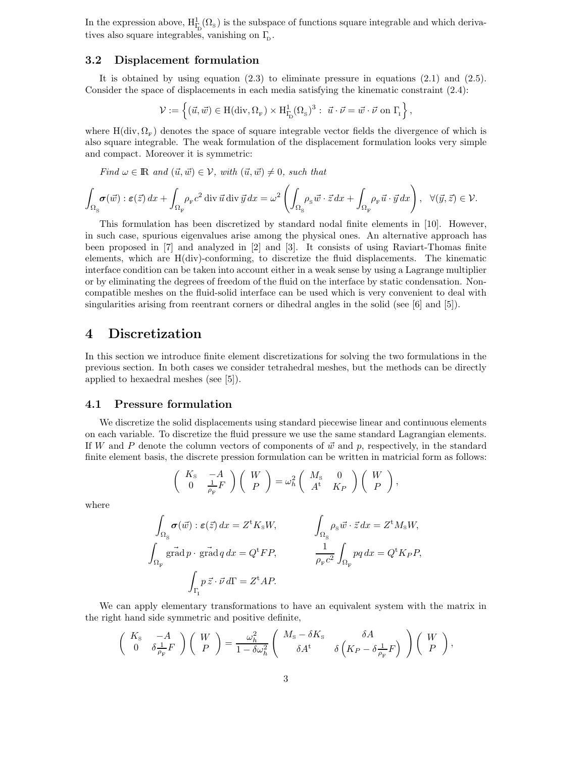In the expression above,  $H^1_{\Gamma_{\rm D}}(\Omega_s)$  is the subspace of functions square integrable and which derivatives also square integrables, vanishing on  $\Gamma_{\scriptscriptstyle{\text{D}}}$ .

### **3.2 Displacement formulation**

It is obtained by using equation (2.3) to eliminate pressure in equations (2.1) and (2.5). Consider the space of displacements in each media satisfying the kinematic constraint (2.4):

$$
\mathcal{V} := \left\{ (\vec{u}, \vec{w}) \in H(\text{div}, \Omega_F) \times H^1_{\Gamma_{\!\!D}}(\Omega_{\rm s})^3 : \ \vec{u} \cdot \vec{\nu} = \vec{w} \cdot \vec{\nu} \text{ on } \Gamma_{\!\!I} \right\},\
$$

where  $H(\text{div}, \Omega_F)$  denotes the space of square integrable vector fields the divergence of which is also square integrable. The weak formulation of the displacement formulation looks very simple and compact. Moreover it is symmetric:

*Find*  $\omega \in \mathbb{R}$  *and*  $(\vec{u}, \vec{w}) \in \mathcal{V}$ *, with*  $(\vec{u}, \vec{w}) \neq 0$ *, such that* 

$$
\int_{\Omega_{\mathcal{S}}} \sigma(\vec{w}) : \varepsilon(\vec{z}) dx + \int_{\Omega_{\mathcal{F}}} \rho_{\mathcal{F}} c^2 \operatorname{div} \vec{u} \operatorname{div} \vec{y} dx = \omega^2 \left( \int_{\Omega_{\mathcal{S}}} \rho_{\mathcal{S}} \vec{w} \cdot \vec{z} dx + \int_{\Omega_{\mathcal{F}}} \rho_{\mathcal{F}} \vec{u} \cdot \vec{y} dx \right), \quad \forall (\vec{y}, \vec{z}) \in \mathcal{V}.
$$

This formulation has been discretized by standard nodal finite elements in [10]. However, in such case, spurious eigenvalues arise among the physical ones. An alternative approach has been proposed in [7] and analyzed in [2] and [3]. It consists of using Raviart-Thomas finite elements, which are H(div)-conforming, to discretize the fluid displacements. The kinematic interface condition can be taken into account either in a weak sense by using a Lagrange multiplier or by eliminating the degrees of freedom of the fluid on the interface by static condensation. Noncompatible meshes on the fluid-solid interface can be used which is very convenient to deal with singularities arising from reentrant corners or dihedral angles in the solid (see [6] and [5]).

# **4 Discretization**

In this section we introduce finite element discretizations for solving the two formulations in the previous section. In both cases we consider tetrahedral meshes, but the methods can be directly applied to hexaedral meshes (see [5]).

#### **4.1 Pressure formulation**

We discretize the solid displacements using standard piecewise linear and continuous elements on each variable. To discretize the fluid pressure we use the same standard Lagrangian elements. If W and P denote the column vectors of components of  $\vec{w}$  and p, respectively, in the standard finite element basis, the discrete pression formulation can be written in matricial form as follows:

$$
\left(\begin{array}{cc} K_{\rm s} & -A \\ 0 & \frac{1}{\rho_{\rm F}} F \end{array}\right) \left(\begin{array}{c} W \\ P \end{array}\right) = \omega_h^2 \left(\begin{array}{cc} M_{\rm s} & 0 \\ A^{\rm t} & K_P \end{array}\right) \left(\begin{array}{c} W \\ P \end{array}\right),
$$

where

$$
\int_{\Omega_{\rm S}} \sigma(\vec{w}) : \varepsilon(\vec{z}) \, dx = Z^{\rm t} K_{\rm s} W, \qquad \qquad \int_{\Omega_{\rm S}} \rho_{\rm s} \vec{w} \cdot \vec{z} \, dx = Z^{\rm t} M_{\rm s} W,
$$
\n
$$
\int_{\Omega_{\rm F}} g \vec{\rm rad} \, p \cdot g \vec{\rm rad} \, q \, dx = Q^{\rm t} FP, \qquad \qquad \frac{1}{\rho_{\rm F} c^2} \int_{\Omega_{\rm F}} p q \, dx = Q^{\rm t} K_P P,
$$
\n
$$
\int_{\Gamma_{\rm I}} p \, \vec{z} \cdot \vec{v} \, d\Gamma = Z^{\rm t} AP.
$$

We can apply elementary transformations to have an equivalent system with the matrix in the right hand side symmetric and positive definite,

$$
\begin{pmatrix}\nK_{\rm s} & -A \\
0 & \delta \frac{1}{\rho_{\rm F}} F\n\end{pmatrix}\n\begin{pmatrix}\nW \\
P\n\end{pmatrix} = \frac{\omega_h^2}{1 - \delta \omega_h^2}\n\begin{pmatrix}\nM_{\rm s} - \delta K_{\rm s} & \delta A \\
\delta A^{\rm t} & \delta \left(K_P - \delta \frac{1}{\rho_{\rm F}} F\right)\n\end{pmatrix}\n\begin{pmatrix}\nW \\
P\n\end{pmatrix},
$$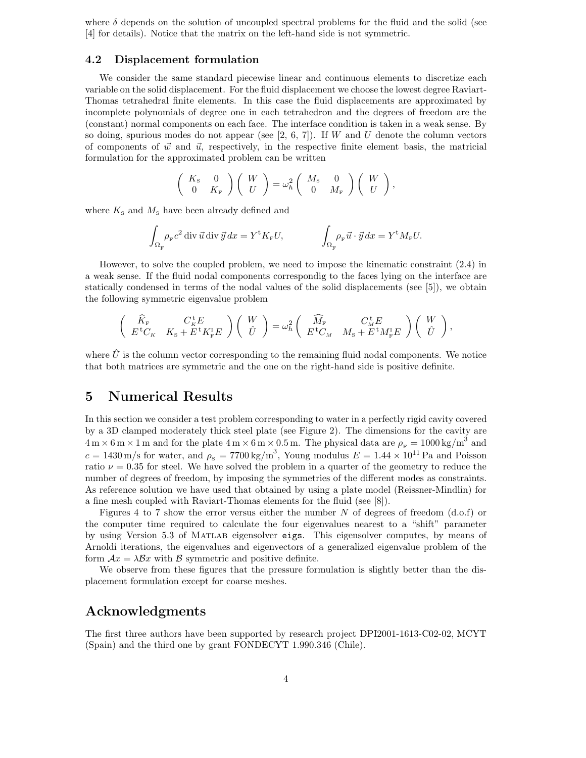where  $\delta$  depends on the solution of uncoupled spectral problems for the fluid and the solid (see [4] for details). Notice that the matrix on the left-hand side is not symmetric.

#### **4.2 Displacement formulation**

We consider the same standard piecewise linear and continuous elements to discretize each variable on the solid displacement. For the fluid displacement we choose the lowest degree Raviart-Thomas tetrahedral finite elements. In this case the fluid displacements are approximated by incomplete polynomials of degree one in each tetrahedron and the degrees of freedom are the (constant) normal components on each face. The interface condition is taken in a weak sense. By so doing, spurious modes do not appear (see  $[2, 6, 7]$ ). If W and U denote the column vectors of components of  $\vec{w}$  and  $\vec{u}$ , respectively, in the respective finite element basis, the matricial formulation for the approximated problem can be written

$$
\left(\begin{array}{cc} K_{\rm S} & 0 \\ 0 & K_{\rm F} \end{array}\right) \left(\begin{array}{c} W \\ U \end{array}\right) = \omega_h^2 \left(\begin{array}{cc} M_{\rm S} & 0 \\ 0 & M_{\rm F} \end{array}\right) \left(\begin{array}{c} W \\ U \end{array}\right),
$$

where  $K<sub>s</sub>$  and  $M<sub>s</sub>$  have been already defined and

$$
\int_{\Omega_{\rm F}} \rho_{\rm F} c^2 \operatorname{div} \vec{u} \operatorname{div} \vec{y} \, dx = Y^{\rm t} K_{\rm F} U, \qquad \qquad \int_{\Omega_{\rm F}} \rho_{\rm F} \vec{u} \cdot \vec{y} \, dx = Y^{\rm t} M_{\rm F} U.
$$

However, to solve the coupled problem, we need to impose the kinematic constraint (2.4) in a weak sense. If the fluid nodal components correspondig to the faces lying on the interface are statically condensed in terms of the nodal values of the solid displacements (see [5]), we obtain the following symmetric eigenvalue problem

$$
\left(\begin{array}{cc} \widehat{K}_{\rm F} & C_{\rm K}^{\rm t}E \\ E^{\rm t}C_{\rm K} & K_{\rm S}+E^{\rm t}K_{\rm F}^{\rm t}E \end{array}\right) \left(\begin{array}{c} W \\ \hat{U} \end{array}\right) = \omega_h^2 \left(\begin{array}{cc} \widehat{M}_{\rm F} & C_{\rm M}^{\rm t}E \\ E^{\rm t}C_{\rm M} & M_{\rm S}+E^{\rm t}M_{\rm F}^{\rm t}E \end{array}\right) \left(\begin{array}{c} W \\ \hat{U} \end{array}\right)
$$

,

where  $\hat{U}$  is the column vector corresponding to the remaining fluid nodal components. We notice that both matrices are symmetric and the one on the right-hand side is positive definite.

## **5 Numerical Results**

In this section we consider a test problem corresponding to water in a perfectly rigid cavity covered by a 3D clamped moderately thick steel plate (see Figure 2). The dimensions for the cavity are  $4 \text{ m} \times 6 \text{ m} \times 1 \text{ m}$  and for the plate  $4 \text{ m} \times 6 \text{ m} \times 0.5 \text{ m}$ . The physical data are  $\rho_{\text{F}} = 1000 \text{ kg/m}^3$  and  $c = 1430 \,\mathrm{m/s}$  for water, and  $\rho_{\mathrm{s}} = 7700 \,\mathrm{kg/m^3}$ , Young modulus  $E = 1.44 \times 10^{11} \,\mathrm{Pa}$  and Poisson ratio  $\nu = 0.35$  for steel. We have solved the problem in a quarter of the geometry to reduce the number of degrees of freedom, by imposing the symmetries of the different modes as constraints. As reference solution we have used that obtained by using a plate model (Reissner-Mindlin) for a fine mesh coupled with Raviart-Thomas elements for the fluid (see [8]).

Figures 4 to 7 show the error versus either the number N of degrees of freedom  $(d.o.f)$  or the computer time required to calculate the four eigenvalues nearest to a "shift" parameter by using Version 5.3 of Matlab eigensolver eigs. This eigensolver computes, by means of Arnoldi iterations, the eigenvalues and eigenvectors of a generalized eigenvalue problem of the form  $Ax = \lambda Bx$  with B symmetric and positive definite.

We observe from these figures that the pressure formulation is slightly better than the displacement formulation except for coarse meshes.

## **Acknowledgments**

The first three authors have been supported by research project DPI2001-1613-C02-02, MCYT (Spain) and the third one by grant FONDECYT 1.990.346 (Chile).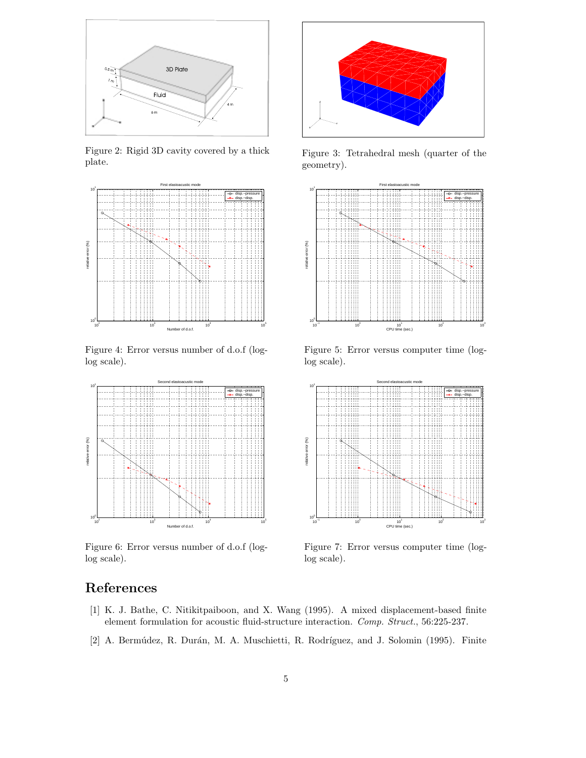

Figure 2: Rigid 3D cavity covered by a thick plate.



Figure 4: Error versus number of d.o.f (loglog scale).



Figure 6: Error versus number of d.o.f (loglog scale).



Figure 3: Tetrahedral mesh (quarter of the geometry).



Figure 5: Error versus computer time (loglog scale).



Figure 7: Error versus computer time (loglog scale).

# **References**

- [1] K. J. Bathe, C. Nitikitpaiboon, and X. Wang (1995). A mixed displacement-based finite element formulation for acoustic fluid-structure interaction. *Comp. Struct.*, 56:225-237.
- [2] A. Bermúdez, R. Durán, M. A. Muschietti, R. Rodríguez, and J. Solomin (1995). Finite